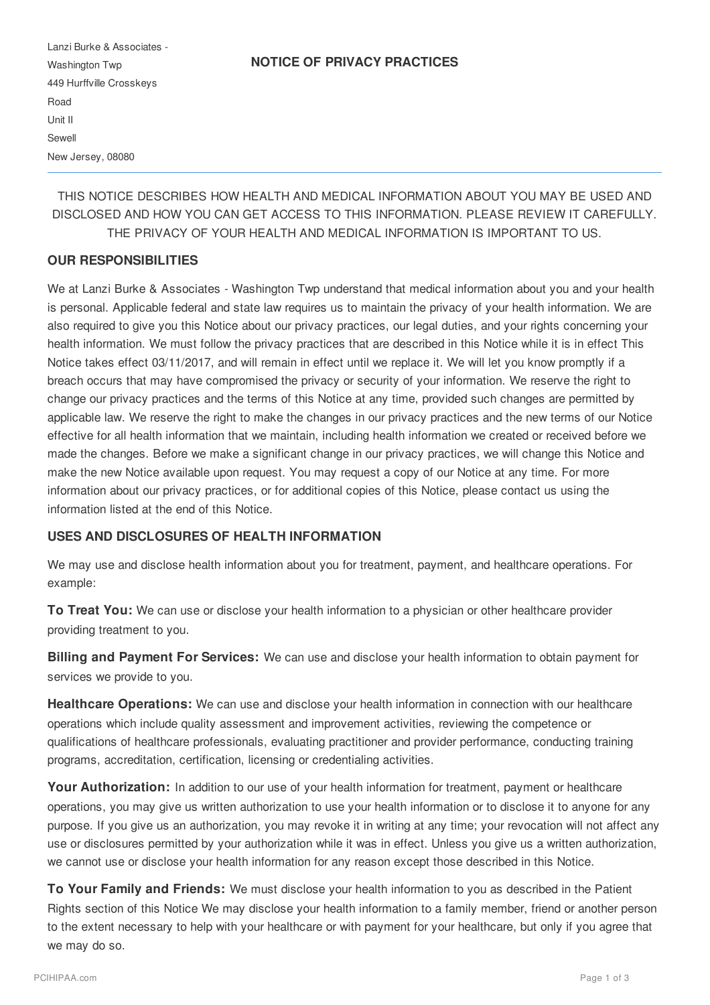Lanzi Burke & Associates - Washington Twp 449 Hurffville Crosskeys Road Unit II Sewell New Jersey, 08080

THIS NOTICE DESCRIBES HOW HEALTH AND MEDICAL INFORMATION ABOUT YOU MAY BE USED AND DISCLOSED AND HOW YOU CAN GET ACCESS TO THIS INFORMATION. PLEASE REVIEW IT CAREFULLY. THE PRIVACY OF YOUR HEALTH AND MEDICAL INFORMATION IS IMPORTANT TO US.

### **OUR RESPONSIBILITIES**

We at Lanzi Burke & Associates - Washington Twp understand that medical information about you and your health is personal. Applicable federal and state law requires us to maintain the privacy of your health information. We are also required to give you this Notice about our privacy practices, our legal duties, and your rights concerning your health information. We must follow the privacy practices that are described in this Notice while it is in effect This Notice takes effect 03/11/2017, and will remain in effect until we replace it. We will let you know promptly if a breach occurs that may have compromised the privacy or security of your information. We reserve the right to change our privacy practices and the terms of this Notice at any time, provided such changes are permitted by applicable law. We reserve the right to make the changes in our privacy practices and the new terms of our Notice effective for all health information that we maintain, including health information we created or received before we made the changes. Before we make a significant change in our privacy practices, we will change this Notice and make the new Notice available upon request. You may request a copy of our Notice at any time. For more information about our privacy practices, or for additional copies of this Notice, please contact us using the information listed at the end of this Notice.

#### **USES AND DISCLOSURES OF HEALTH INFORMATION**

We may use and disclose health information about you for treatment, payment, and healthcare operations. For example:

**To Treat You:** We can use or disclose your health information to a physician or other healthcare provider providing treatment to you.

**Billing and Payment For Services:** We can use and disclose your health information to obtain payment for services we provide to you.

**Healthcare Operations:** We can use and disclose your health information in connection with our healthcare operations which include quality assessment and improvement activities, reviewing the competence or qualifications of healthcare professionals, evaluating practitioner and provider performance, conducting training programs, accreditation, certification, licensing or credentialing activities.

**Your Authorization:** In addition to our use of your health information for treatment, payment or healthcare operations, you may give us written authorization to use your health information or to disclose it to anyone for any purpose. If you give us an authorization, you may revoke it in writing at any time; your revocation will not affect any use or disclosures permitted by your authorization while it was in effect. Unless you give us a written authorization, we cannot use or disclose your health information for any reason except those described in this Notice.

**To Your Family and Friends:** We must disclose your health information to you as described in the Patient Rights section of this Notice We may disclose your health information to a family member, friend or another person to the extent necessary to help with your healthcare or with payment for your healthcare, but only if you agree that we may do so.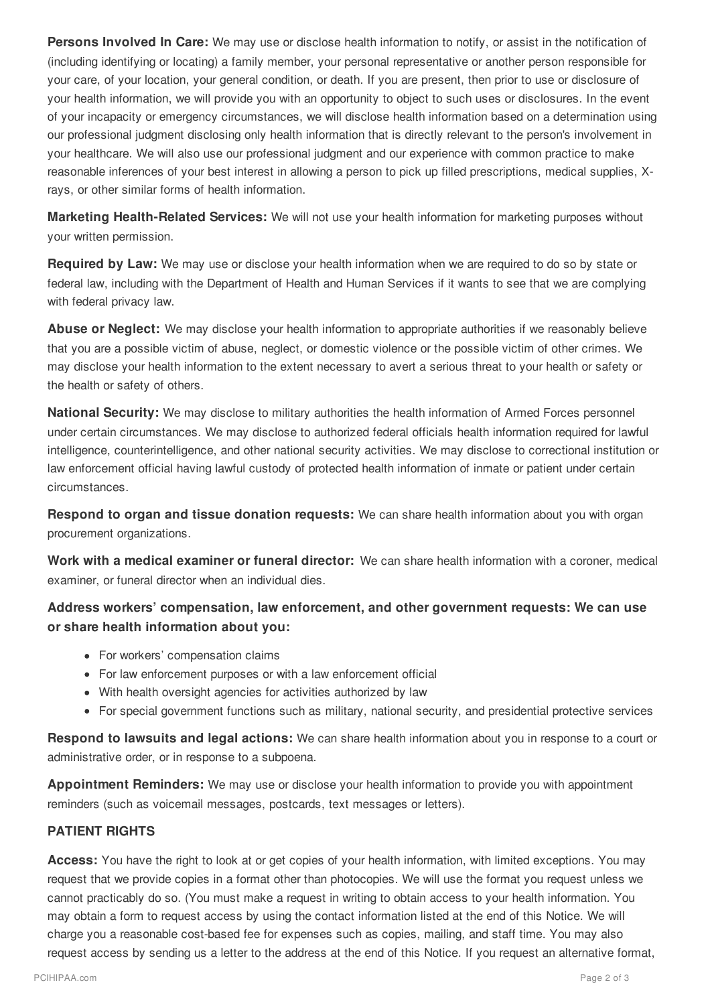**Persons Involved In Care:** We may use or disclose health information to notify, or assist in the notification of (including identifying or locating) a family member, your personal representative or another person responsible for your care, of your location, your general condition, or death. If you are present, then prior to use or disclosure of your health information, we will provide you with an opportunity to object to such uses or disclosures. In the event of your incapacity or emergency circumstances, we will disclose health information based on a determination using our professional judgment disclosing only health information that is directly relevant to the person's involvement in your healthcare. We will also use our professional judgment and our experience with common practice to make reasonable inferences of your best interest in allowing a person to pick up filled prescriptions, medical supplies, Xrays, or other similar forms of health information.

**Marketing Health-Related Services:** We will not use your health information for marketing purposes without your written permission.

**Required by Law:** We may use or disclose your health information when we are required to do so by state or federal law, including with the Department of Health and Human Services if it wants to see that we are complying with federal privacy law.

**Abuse or Neglect:** We may disclose your health information to appropriate authorities if we reasonably believe that you are a possible victim of abuse, neglect, or domestic violence or the possible victim of other crimes. We may disclose your health information to the extent necessary to avert a serious threat to your health or safety or the health or safety of others.

**National Security:** We may disclose to military authorities the health information of Armed Forces personnel under certain circumstances. We may disclose to authorized federal officials health information required for lawful intelligence, counterintelligence, and other national security activities. We may disclose to correctional institution or law enforcement official having lawful custody of protected health information of inmate or patient under certain circumstances.

**Respond to organ and tissue donation requests:** We can share health information about you with organ procurement organizations.

**Work with a medical examiner or funeral director:** We can share health information with a coroner, medical examiner, or funeral director when an individual dies.

# **Address workers' compensation, law enforcement, and other government requests: We can use or share health information about you:**

- For workers' compensation claims
- For law enforcement purposes or with a law enforcement official
- With health oversight agencies for activities authorized by law
- For special government functions such as military, national security, and presidential protective services

**Respond to lawsuits and legal actions:** We can share health information about you in response to a court or administrative order, or in response to a subpoena.

**Appointment Reminders:** We may use or disclose your health information to provide you with appointment reminders (such as voicemail messages, postcards, text messages or letters).

## **PATIENT RIGHTS**

**Access:** You have the right to look at or get copies of your health information, with limited exceptions. You may request that we provide copies in a format other than photocopies. We will use the format you request unless we cannot practicably do so. (You must make a request in writing to obtain access to your health information. You may obtain a form to request access by using the contact information listed at the end of this Notice. We will charge you a reasonable cost-based fee for expenses such as copies, mailing, and staff time. You may also request access by sending us a letter to the address at the end of this Notice. If you request an alternative format,